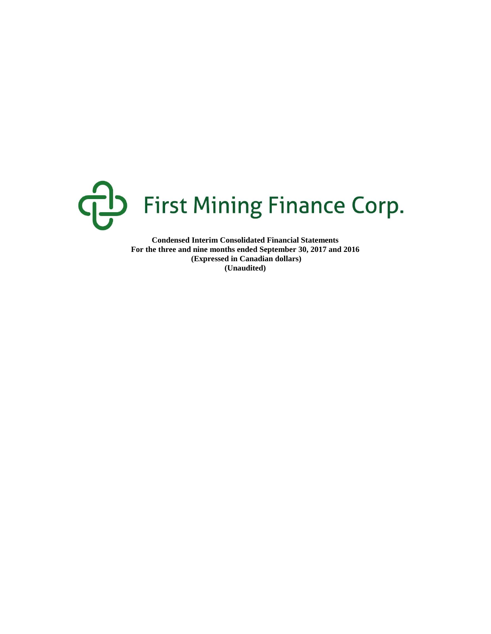

**Condensed Interim Consolidated Financial Statements For the three and nine months ended September 30, 2017 and 2016 (Expressed in Canadian dollars) (Unaudited)**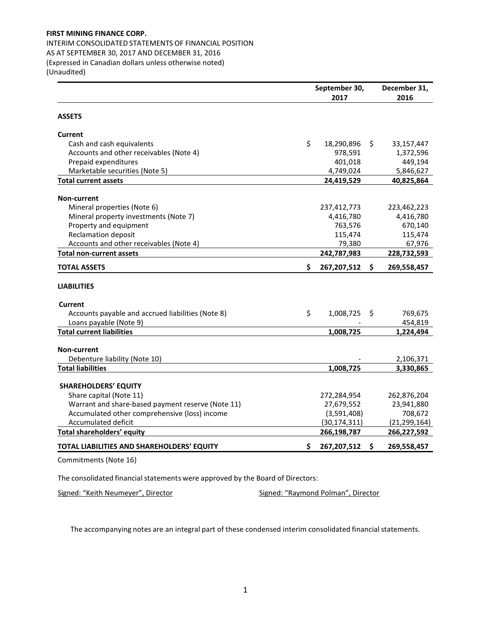INTERIM CONSOLIDATED STATEMENTS OF FINANCIAL POSITION AS AT SEPTEMBER 30, 2017 AND DECEMBER 31, 2016 (Expressed in Canadian dollars unless otherwise noted) (Unaudited)

**September 30, 2017 December 31, 2016 ASSETS Current** Cash and cash equivalents  $\frac{18,290,896}{9}$   $\frac{33,157,447}{9}$ Accounts and other receivables (Note 4) 978,591 1,372,596 Prepaid expenditures and the set of the set of the set of the 401,018 and 449,194 Marketable securities (Note 5) and the securities (Note 5) and the securities (Note 5) and the securities (Note 5) **Total current assets 24,419,529 40,825,864 Non-current** Mineral properties (Note 6) 237,412,773 223,462,223 Mineral property investments (Note 7)  $4.416,780$   $4.416,780$   $4.416,780$ Property and equipment **1846** 670,140 **670,140 670,140** Reclamation deposit 115,474 115,474 115,474 115,474 Accounts and other receivables (Note 4) 19,380 67,976 **Total non-current assets 242,787,983 228,732,593 TOTAL ASSETS \$ 267,207,512 \$ 269,558,457 LIABILITIES Current** Accounts payable and accrued liabilities (Note 8)  $\qquad \qquad$  \$ 1,008,725 \$ 769,675 Loans payable (Note 9) - 454,819 **Total current liabilities 1,008,725 1,224,494 Non-current** Debenture liability (Note 10) and the contract of the contract of the contract of the contract of the contract of the contract of the contract of the contract of the contract of the contract of the contract of the contract **Total liabilities 1,008,725 3,330,865 SHAREHOLDERS' EQUITY** Share capital (Note 11) 272,284,954 262,876,204 Warrant and share-based payment reserve (Note 11) 27,679,552 23,941,880 Accumulated other comprehensive (loss) income (3,591,408) 708,672<br>Accumulated deficit (30,174,311) (21,299,164) Accumulated deficit (30,174,311) **Total shareholders' equity 266,198,787 266,227,592 TOTAL LIABILITIES AND SHAREHOLDERS' EQUITY \$ 267,207,512 \$ 269,558,457** Commitments (Note 16)

The consolidated financial statements were approved by the Board of Directors:

Signed: "Keith Neumeyer", Director Signed: "Raymond Polman", Director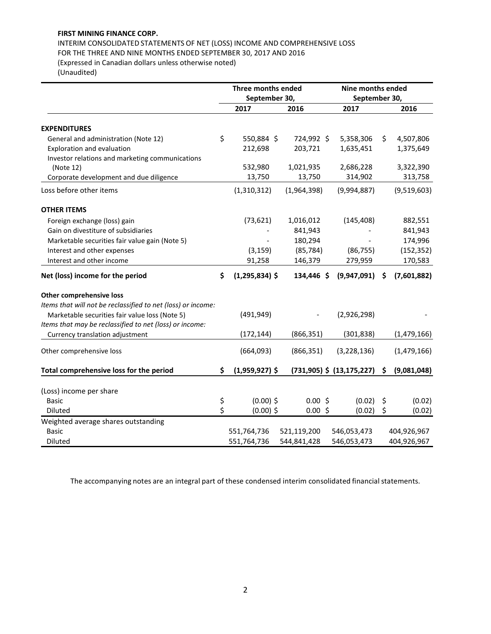INTERIM CONSOLIDATED STATEMENTS OF NET (LOSS) INCOME AND COMPREHENSIVE LOSS FOR THE THREE AND NINE MONTHS ENDED SEPTEMBER 30, 2017 AND 2016 (Expressed in Canadian dollars unless otherwise noted)

(Unaudited)

|                                                              | Three months ended     |             | Nine months ended             |                   |
|--------------------------------------------------------------|------------------------|-------------|-------------------------------|-------------------|
|                                                              | September 30,          |             | September 30,                 |                   |
|                                                              | 2017                   | 2016        | 2017                          | 2016              |
|                                                              |                        |             |                               |                   |
| <b>EXPENDITURES</b>                                          |                        |             |                               |                   |
| General and administration (Note 12)                         | \$<br>550,884 \$       | 724,992 \$  | 5,358,306                     | \$<br>4,507,806   |
| Exploration and evaluation                                   | 212,698                | 203,721     | 1,635,451                     | 1,375,649         |
| Investor relations and marketing communications              |                        |             |                               |                   |
| (Note 12)                                                    | 532,980                | 1,021,935   | 2,686,228                     | 3,322,390         |
| Corporate development and due diligence                      | 13,750                 | 13,750      | 314,902                       | 313,758           |
| Loss before other items                                      | (1,310,312)            | (1,964,398) | (9,994,887)                   | (9,519,603)       |
| <b>OTHER ITEMS</b>                                           |                        |             |                               |                   |
| Foreign exchange (loss) gain                                 | (73, 621)              | 1,016,012   | (145, 408)                    | 882,551           |
| Gain on divestiture of subsidiaries                          |                        | 841,943     |                               | 841,943           |
| Marketable securities fair value gain (Note 5)               |                        | 180,294     |                               | 174,996           |
| Interest and other expenses                                  | (3, 159)               | (85, 784)   | (86, 755)                     | (152, 352)        |
| Interest and other income                                    | 91,258                 | 146,379     | 279,959                       | 170,583           |
| Net (loss) income for the period                             | \$<br>$(1,295,834)$ \$ | 134,446 \$  | (9,947,091)                   | \$<br>(7,601,882) |
| Other comprehensive loss                                     |                        |             |                               |                   |
| Items that will not be reclassified to net (loss) or income: |                        |             |                               |                   |
| Marketable securities fair value loss (Note 5)               | (491, 949)             |             | (2,926,298)                   |                   |
| Items that may be reclassified to net (loss) or income:      |                        |             |                               |                   |
| Currency translation adjustment                              | (172, 144)             | (866, 351)  | (301, 838)                    | (1,479,166)       |
|                                                              |                        |             |                               |                   |
| Other comprehensive loss                                     | (664,093)              | (866, 351)  | (3, 228, 136)                 | (1,479,166)       |
| Total comprehensive loss for the period                      | \$<br>$(1,959,927)$ \$ |             | $(731,905)$ \$ $(13,175,227)$ | \$<br>(9,081,048) |
|                                                              |                        |             |                               |                   |
| (Loss) income per share                                      |                        |             |                               |                   |
| <b>Basic</b>                                                 | \$<br>$(0.00)$ \$      | 0.00%       | (0.02)                        | \$<br>(0.02)      |
| <b>Diluted</b>                                               | \$<br>$(0.00)$ \$      | 0.00%       | (0.02)                        | \$<br>(0.02)      |
| Weighted average shares outstanding                          |                        |             |                               |                   |
| <b>Basic</b>                                                 | 551,764,736            | 521,119,200 | 546,053,473                   | 404,926,967       |
| <b>Diluted</b>                                               | 551,764,736            | 544,841,428 | 546,053,473                   | 404,926,967       |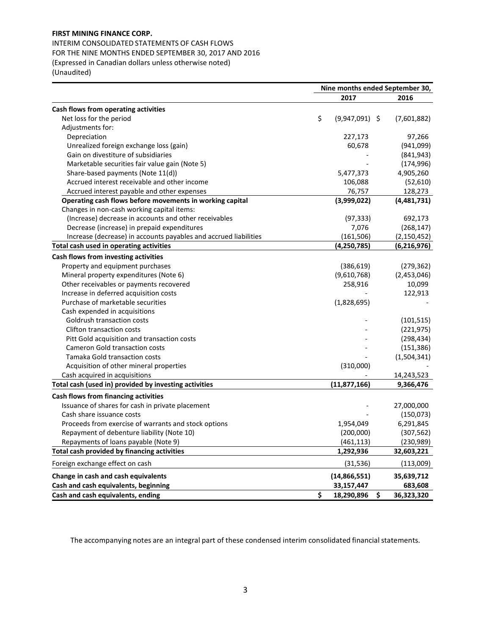INTERIM CONSOLIDATED STATEMENTS OF CASH FLOWS FOR THE NINE MONTHS ENDED SEPTEMBER 30, 2017 AND 2016 (Expressed in Canadian dollars unless otherwise noted) (Unaudited)

|                                                                  | Nine months ended September 30, |                  |                  |  |  |  |
|------------------------------------------------------------------|---------------------------------|------------------|------------------|--|--|--|
|                                                                  |                                 | 2017             | 2016             |  |  |  |
| Cash flows from operating activities                             |                                 |                  |                  |  |  |  |
| Net loss for the period                                          | \$                              | $(9,947,091)$ \$ | (7,601,882)      |  |  |  |
| Adjustments for:                                                 |                                 |                  |                  |  |  |  |
| Depreciation                                                     |                                 | 227,173          | 97,266           |  |  |  |
| Unrealized foreign exchange loss (gain)                          |                                 | 60,678           | (941,099)        |  |  |  |
| Gain on divestiture of subsidiaries                              |                                 |                  | (841, 943)       |  |  |  |
| Marketable securities fair value gain (Note 5)                   |                                 |                  | (174, 996)       |  |  |  |
| Share-based payments (Note 11(d))                                |                                 | 5,477,373        | 4,905,260        |  |  |  |
| Accrued interest receivable and other income                     |                                 | 106,088          | (52, 610)        |  |  |  |
| Accrued interest payable and other expenses                      |                                 | 76,757           | 128,273          |  |  |  |
| Operating cash flows before movements in working capital         |                                 | (3,999,022)      | (4,481,731)      |  |  |  |
| Changes in non-cash working capital items:                       |                                 |                  |                  |  |  |  |
| (Increase) decrease in accounts and other receivables            |                                 | (97, 333)        | 692,173          |  |  |  |
| Decrease (increase) in prepaid expenditures                      |                                 | 7,076            | (268, 147)       |  |  |  |
| Increase (decrease) in accounts payables and accrued liabilities |                                 | (161, 506)       | (2, 150, 452)    |  |  |  |
| Total cash used in operating activities                          |                                 | (4,250,785)      | (6, 216, 976)    |  |  |  |
| Cash flows from investing activities                             |                                 |                  |                  |  |  |  |
| Property and equipment purchases                                 |                                 | (386, 619)       | (279, 362)       |  |  |  |
| Mineral property expenditures (Note 6)                           |                                 | (9,610,768)      | (2,453,046)      |  |  |  |
| Other receivables or payments recovered                          |                                 | 258,916          | 10,099           |  |  |  |
| Increase in deferred acquisition costs                           |                                 |                  | 122,913          |  |  |  |
| Purchase of marketable securities                                |                                 | (1,828,695)      |                  |  |  |  |
| Cash expended in acquisitions                                    |                                 |                  |                  |  |  |  |
| Goldrush transaction costs                                       |                                 |                  | (101, 515)       |  |  |  |
| <b>Clifton transaction costs</b>                                 |                                 |                  | (221, 975)       |  |  |  |
| Pitt Gold acquisition and transaction costs                      |                                 |                  | (298, 434)       |  |  |  |
| <b>Cameron Gold transaction costs</b>                            |                                 |                  | (151, 386)       |  |  |  |
| Tamaka Gold transaction costs                                    |                                 |                  | (1,504,341)      |  |  |  |
| Acquisition of other mineral properties                          |                                 | (310,000)        |                  |  |  |  |
| Cash acquired in acquisitions                                    |                                 |                  | 14,243,523       |  |  |  |
| Total cash (used in) provided by investing activities            |                                 | (11, 877, 166)   | 9,366,476        |  |  |  |
| Cash flows from financing activities                             |                                 |                  |                  |  |  |  |
| Issuance of shares for cash in private placement                 |                                 |                  | 27,000,000       |  |  |  |
| Cash share issuance costs                                        |                                 |                  | (150, 073)       |  |  |  |
| Proceeds from exercise of warrants and stock options             |                                 | 1,954,049        | 6,291,845        |  |  |  |
| Repayment of debenture liability (Note 10)                       |                                 | (200,000)        | (307, 562)       |  |  |  |
| Repayments of loans payable (Note 9)                             |                                 | (461, 113)       | (230, 989)       |  |  |  |
| Total cash provided by financing activities                      |                                 | 1,292,936        | 32,603,221       |  |  |  |
| Foreign exchange effect on cash                                  |                                 | (31, 536)        | (113,009)        |  |  |  |
| Change in cash and cash equivalents                              |                                 | (14, 866, 551)   | 35,639,712       |  |  |  |
| Cash and cash equivalents, beginning                             |                                 | 33,157,447       | 683,608          |  |  |  |
| Cash and cash equivalents, ending                                | \$                              | 18,290,896       | \$<br>36,323,320 |  |  |  |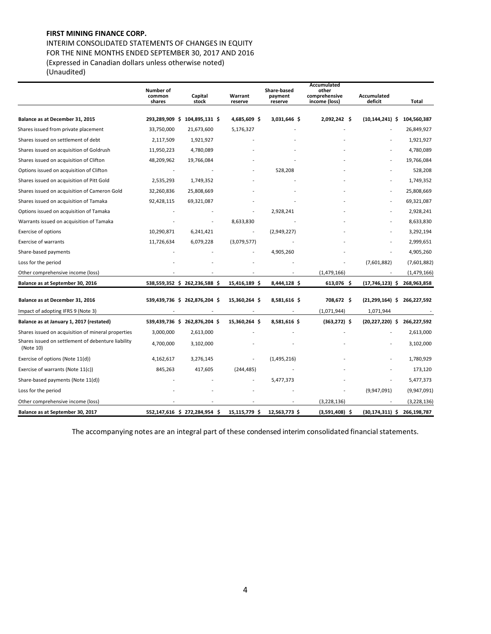INTERIM CONSOLIDATED STATEMENTS OF CHANGES IN EQUITY FOR THE NINE MONTHS ENDED SEPTEMBER 30, 2017 AND 2016 (Expressed in Canadian dollars unless otherwise noted) (Unaudited)

**Number of common shares Capital stock Warrant reserve Share-based payment reserve Accumulated other comprehensive income (loss) Accumulated deficit Total Balance as at December 31, 2015 293,289,909 \$ 104,895,131 \$ 4,685,609 \$ 3,031,646 \$ 2,092,242 \$ (10,144,241) \$ 104,560,387** Shares issued from private placement 33,750,000 21,673,600 5,176,327 - - - - - - - - - - - - - 26,849,927 Shares issued on settlement of debt 2,117,509 1,921,927 - - - - - - - - - - - - - - - - - - 1,921,927 Shares issued on acquisition of Goldrush 11,950,223 4,780,089 - - - - - - - - - - - - - - - - - - 4,780,089 Shares issued on acquisition of Clifton 48,209,962 19,766,084 - - - - 19,766,084 Options issued on acquisition of Clifton and Clifton and Clifton and Clifton and Clifton and Clifton and Clifton and Clifton and Clifton and Clifton and Clifton and Clifton and Clifton and Clifton and Clifton and Clifton a Shares issued on acquisition of Pitt Gold 2,535,293 1,749,352 1,749,352 1,1749,352 1,1749,352 Shares issued on acquisition of Cameron Gold 32,260,836 25,808,669 - - - - 25,808,669 Shares issued on acquisition of Tamaka 92,428,115 69,321,087 - - - - 69,321,087 Options issued on acquisition of Tamaka and the state of the control of Tamaka and the control of Tamaka and the control of the control of the control of the control of the control of the control of the control of the cont Warrants issued on acquisition of Tamaka **- 1990 - 1991** - 8,633,830 - - - - - - - - - - - - - - - - - 8,633,830 Exercise of options and the contract of the contract of the contract of the contract of the contract of the contract of the contract of the contract of the contract of the contract of the contract of the contract of the co Exercise of warrants 11,726,634 6,079,228 (3,079,577) - - - - - - - - - - - - - 2,999,651 Share-based payments and the state of the state of the state of the state of the state of the state of the state of the state of the state of the state of the state of the state of the state of the state of the state of th Loss for the period - - - - - (7,601,882) (7,601,882) Other comprehensive income (loss) (1,479,166) (1,479,166) (1,479,166) (1,479,166) Balance as at September 30, 2016 68, 2016 68, 202, 2036, 582 (202, 236, 588 \$ 15, 416, 189 \$ 7644, 128 \$ 613, 076 \$ 767, 46, 123 \$ 768, 963, 858 . **Balance as at December 31, 2016 539,439,736 \$ 262,876,204 \$ 15,360,264 \$ 8,581,616 \$ 708,672 \$ (21,299,164) \$ 266,227,592** Impact of adopting IFRS 9 (Note 3)  $\qquad \qquad -$  -  $\qquad \qquad -$  -  $\qquad \qquad -$  (1,071,944) 1,071,944  **Balance as at January 1, 2017 (restated) 539,439,736 \$ 262,876,204 \$ 15,360,264 \$ 8,581,616 \$ (363,272) \$ (20,227,220) \$ 266,227,592** Shares issued on acquisition of mineral properties 3,000,000 2,613,000 - - - - 2,613,000 Shares issued on settlement of debenture liability (Note 10) 4,700,000 3,102,000 - - - - 3,102,000 Exercise of options (Note 11(d))  $\begin{array}{cccc} 4,162,617 & 3,276,145 & - \\ 4,162,617 & 3,276,145 & - \\ 1,162,617 & 1,162,161 & - \\ 1,162,617 & 1,162,161 & - \\ 1,162,617 & 1,162,161 & - \\ 1,162,617 & 1,162,161 & - \\ 1,162,617 & 1,162,161 & - \\ 1,162,617 & 1$  Exercise of warrants (Note 11(c)) 845,263 417,605 (244,485) - - - 173,120 Share-based payments (Note 11(d)) and the state of the state of the state of the state of the state of the state of the state of the state of the state of the state of the state of the state of the state of the state of th Loss for the period (9,947,091) (9,947,091) (9,947,091) Other comprehensive income (loss) (3,228,136) (3,228,136) (3,228,136) (3,228,136) Balance as at September 30, 2017 **1988** 1552,147,616 \$ 272,284,954 \$ 15,115,779 \$ 12,563,773 \$ (3,591,408) \$ (30,174,311) \$ 266,198,787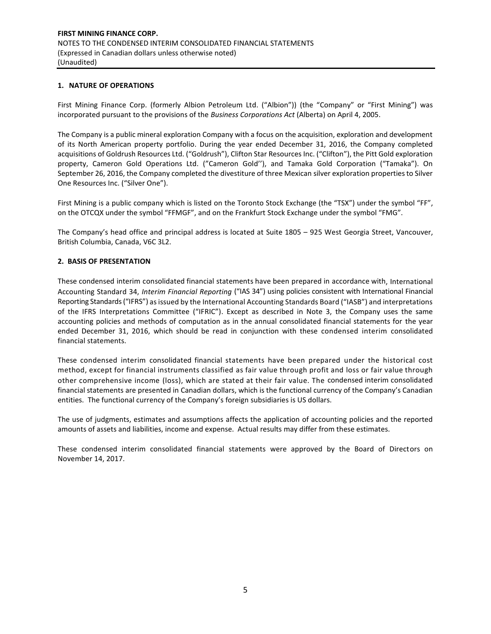## **1. NATURE OF OPERATIONS**

First Mining Finance Corp. (formerly Albion Petroleum Ltd. ("Albion")) (the "Company" or "First Mining") was incorporated pursuant to the provisions of the *Business Corporations Act* (Alberta) on April 4, 2005.

The Company is a public mineral exploration Company with a focus on the acquisition, exploration and development of its North American property portfolio. During the year ended December 31, 2016, the Company completed acquisitions of Goldrush Resources Ltd. ("Goldrush"), Clifton Star Resources Inc. ("Clifton"), the Pitt Gold exploration property, Cameron Gold Operations Ltd. ("Cameron Gold''), and Tamaka Gold Corporation ("Tamaka"). On September 26, 2016, the Company completed the divestiture of three Mexican silver exploration properties to Silver One Resources Inc. ("Silver One").

First Mining is a public company which is listed on the Toronto Stock Exchange (the "TSX") under the symbol "FF", on the OTCQX under the symbol "FFMGF", and on the Frankfurt Stock Exchange under the symbol "FMG".

The Company's head office and principal address is located at Suite 1805 – 925 West Georgia Street, Vancouver, British Columbia, Canada, V6C 3L2.

## **2. BASIS OF PRESENTATION**

These condensed interim consolidated financial statements have been prepared in accordance with, International Accounting Standard 34, *Interim Financial Reporting* ("IAS 34") using policies consistent with International Financial Reporting Standards ("IFRS") as issued by the International Accounting Standards Board ("IASB") and interpretations of the IFRS Interpretations Committee ("IFRIC"). Except as described in Note 3, the Company uses the same accounting policies and methods of computation as in the annual consolidated financial statements for the year ended December 31, 2016, which should be read in conjunction with these condensed interim consolidated financial statements.

These condensed interim consolidated financial statements have been prepared under the historical cost method, except for financial instruments classified as fair value through profit and loss or fair value through other comprehensive income (loss), which are stated at their fair value. The condensed interim consolidated financial statements are presented in Canadian dollars, which is the functional currency of the Company's Canadian entities. The functional currency of the Company's foreign subsidiaries is US dollars.

The use of judgments, estimates and assumptions affects the application of accounting policies and the reported amounts of assets and liabilities, income and expense. Actual results may differ from these estimates.

These condensed interim consolidated financial statements were approved by the Board of Directors on November 14, 2017.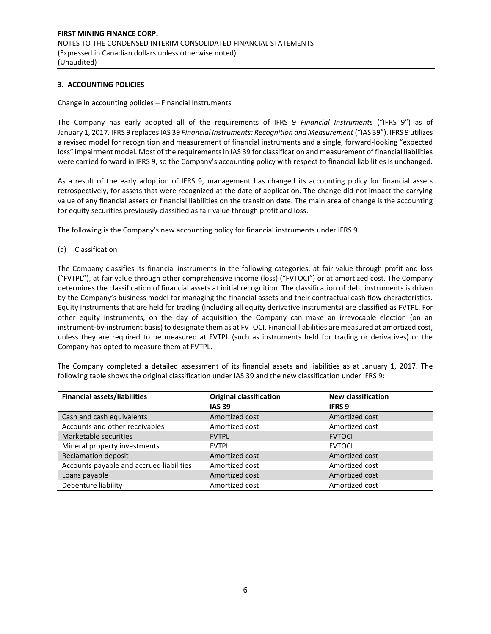## **3. ACCOUNTING POLICIES**

#### Change in accounting policies – Financial Instruments

The Company has early adopted all of the requirements of IFRS 9 *Financial Instruments* ("IFRS 9") as of January 1, 2017. IFRS 9 replaces IAS 39 *Financial Instruments: Recognition and Measurement* ("IAS 39"). IFRS 9 utilizes a revised model for recognition and measurement of financial instruments and a single, forward-looking "expected loss" impairment model. Most of the requirements in IAS 39 for classification and measurement of financial liabilities were carried forward in IFRS 9, so the Company's accounting policy with respect to financial liabilities is unchanged.

As a result of the early adoption of IFRS 9, management has changed its accounting policy for financial assets retrospectively, for assets that were recognized at the date of application. The change did not impact the carrying value of any financial assets or financial liabilities on the transition date. The main area of change is the accounting for equity securities previously classified as fair value through profit and loss.

The following is the Company's new accounting policy for financial instruments under IFRS 9.

(a) Classification

The Company classifies its financial instruments in the following categories: at fair value through profit and loss ("FVTPL"), at fair value through other comprehensive income (loss) ("FVTOCI") or at amortized cost. The Company determines the classification of financial assets at initial recognition. The classification of debt instruments is driven by the Company's business model for managing the financial assets and their contractual cash flow characteristics. Equity instruments that are held for trading (including all equity derivative instruments) are classified as FVTPL. For other equity instruments, on the day of acquisition the Company can make an irrevocable election (on an instrument-by-instrument basis) to designate them as at FVTOCI. Financial liabilities are measured at amortized cost, unless they are required to be measured at FVTPL (such as instruments held for trading or derivatives) or the Company has opted to measure them at FVTPL.

The Company completed a detailed assessment of its financial assets and liabilities as at January 1, 2017. The following table shows the original classification under IAS 39 and the new classification under IFRS 9:

| <b>Financial assets/liabilities</b>      | <b>Original classification</b> | <b>New classification</b> |
|------------------------------------------|--------------------------------|---------------------------|
|                                          | <b>IAS 39</b>                  | <b>IFRS 9</b>             |
| Cash and cash equivalents                | Amortized cost                 | Amortized cost            |
| Accounts and other receivables           | Amortized cost                 | Amortized cost            |
| Marketable securities                    | <b>FVTPL</b>                   | <b>FVTOCI</b>             |
| Mineral property investments             | <b>FVTPL</b>                   | <b>FVTOCI</b>             |
| <b>Reclamation deposit</b>               | Amortized cost                 | Amortized cost            |
| Accounts payable and accrued liabilities | Amortized cost                 | Amortized cost            |
| Loans payable                            | Amortized cost                 | Amortized cost            |
| Debenture liability                      | Amortized cost                 | Amortized cost            |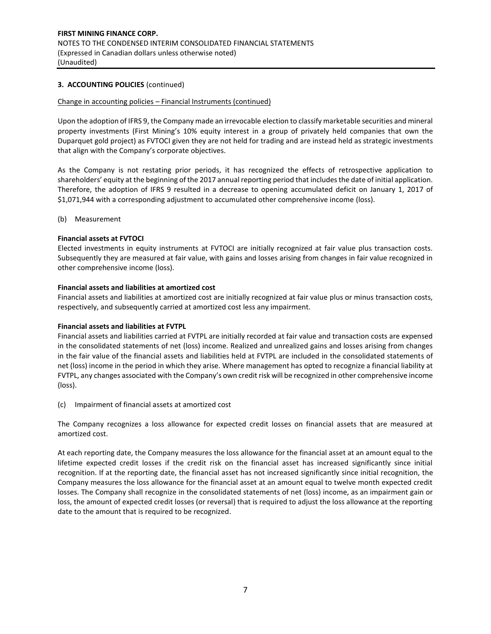# **3. ACCOUNTING POLICIES** (continued)

#### Change in accounting policies – Financial Instruments (continued)

Upon the adoption of IFRS 9, the Company made an irrevocable election to classify marketable securities and mineral property investments (First Mining's 10% equity interest in a group of privately held companies that own the Duparquet gold project) as FVTOCI given they are not held for trading and are instead held as strategic investments that align with the Company's corporate objectives.

As the Company is not restating prior periods, it has recognized the effects of retrospective application to shareholders' equity at the beginning of the 2017 annual reporting period that includes the date of initial application. Therefore, the adoption of IFRS 9 resulted in a decrease to opening accumulated deficit on January 1, 2017 of \$1,071,944 with a corresponding adjustment to accumulated other comprehensive income (loss).

(b) Measurement

### **Financial assets at FVTOCI**

Elected investments in equity instruments at FVTOCI are initially recognized at fair value plus transaction costs. Subsequently they are measured at fair value, with gains and losses arising from changes in fair value recognized in other comprehensive income (loss).

### **Financial assets and liabilities at amortized cost**

Financial assets and liabilities at amortized cost are initially recognized at fair value plus or minus transaction costs, respectively, and subsequently carried at amortized cost less any impairment.

## **Financial assets and liabilities at FVTPL**

Financial assets and liabilities carried at FVTPL are initially recorded at fair value and transaction costs are expensed in the consolidated statements of net (loss) income. Realized and unrealized gains and losses arising from changes in the fair value of the financial assets and liabilities held at FVTPL are included in the consolidated statements of net (loss) income in the period in which they arise. Where management has opted to recognize a financial liability at FVTPL, any changes associated with the Company's own credit risk will be recognized in other comprehensive income (loss).

(c) Impairment of financial assets at amortized cost

The Company recognizes a loss allowance for expected credit losses on financial assets that are measured at amortized cost.

At each reporting date, the Company measures the loss allowance for the financial asset at an amount equal to the lifetime expected credit losses if the credit risk on the financial asset has increased significantly since initial recognition. If at the reporting date, the financial asset has not increased significantly since initial recognition, the Company measures the loss allowance for the financial asset at an amount equal to twelve month expected credit losses. The Company shall recognize in the consolidated statements of net (loss) income, as an impairment gain or loss, the amount of expected credit losses (or reversal) that is required to adjust the loss allowance at the reporting date to the amount that is required to be recognized.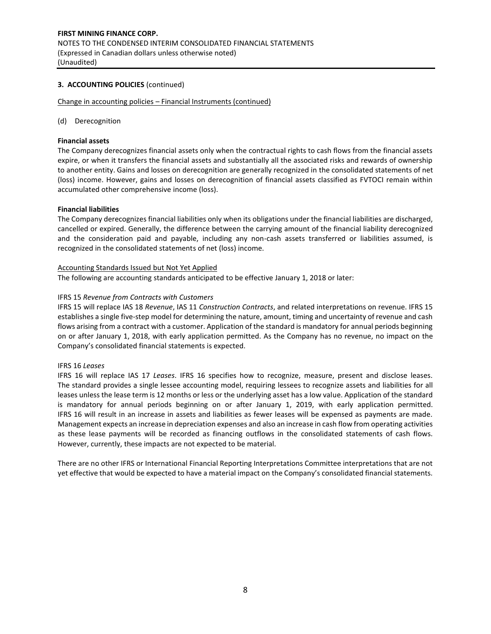## **3. ACCOUNTING POLICIES** (continued)

Change in accounting policies – Financial Instruments (continued)

#### (d) Derecognition

### **Financial assets**

The Company derecognizes financial assets only when the contractual rights to cash flows from the financial assets expire, or when it transfers the financial assets and substantially all the associated risks and rewards of ownership to another entity. Gains and losses on derecognition are generally recognized in the consolidated statements of net (loss) income. However, gains and losses on derecognition of financial assets classified as FVTOCI remain within accumulated other comprehensive income (loss).

### **Financial liabilities**

The Company derecognizes financial liabilities only when its obligations under the financial liabilities are discharged, cancelled or expired. Generally, the difference between the carrying amount of the financial liability derecognized and the consideration paid and payable, including any non-cash assets transferred or liabilities assumed, is recognized in the consolidated statements of net (loss) income.

### Accounting Standards Issued but Not Yet Applied

The following are accounting standards anticipated to be effective January 1, 2018 or later:

## IFRS 15 *Revenue from Contracts with Customers*

IFRS 15 will replace IAS 18 *Revenue*, IAS 11 *Construction Contracts*, and related interpretations on revenue. IFRS 15 establishes a single five‐step model for determining the nature, amount, timing and uncertainty of revenue and cash flows arising from a contract with a customer. Application of the standard is mandatory for annual periods beginning on or after January 1, 2018, with early application permitted. As the Company has no revenue, no impact on the Company's consolidated financial statements is expected.

### IFRS 16 *Leases*

IFRS 16 will replace IAS 17 *Leases*. IFRS 16 specifies how to recognize, measure, present and disclose leases. The standard provides a single lessee accounting model, requiring lessees to recognize assets and liabilities for all leases unless the lease term is 12 months or less or the underlying asset has a low value. Application of the standard is mandatory for annual periods beginning on or after January 1, 2019, with early application permitted. IFRS 16 will result in an increase in assets and liabilities as fewer leases will be expensed as payments are made. Management expects an increase in depreciation expenses and also an increase in cash flow from operating activities as these lease payments will be recorded as financing outflows in the consolidated statements of cash flows. However, currently, these impacts are not expected to be material.

There are no other IFRS or International Financial Reporting Interpretations Committee interpretations that are not yet effective that would be expected to have a material impact on the Company's consolidated financial statements.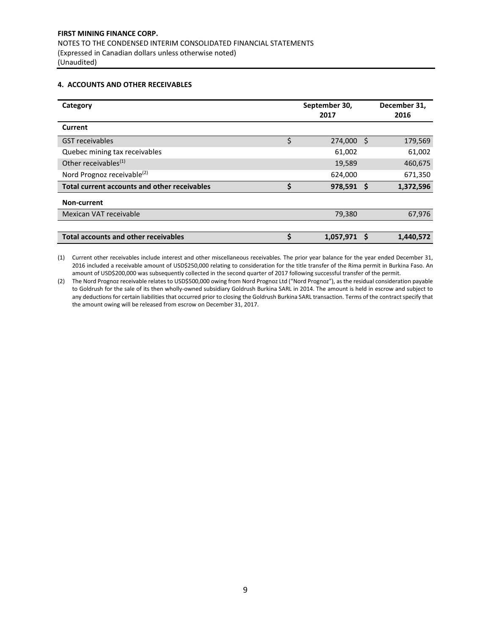### **4. ACCOUNTS AND OTHER RECEIVABLES**

| Category                                     | September 30,<br>2017 |    | December 31,<br>2016 |
|----------------------------------------------|-----------------------|----|----------------------|
| Current                                      |                       |    |                      |
| <b>GST</b> receivables                       | \$<br>274,000         | \$ | 179,569              |
| Quebec mining tax receivables                | 61,002                |    | 61,002               |
| Other receivables <sup>(1)</sup>             | 19,589                |    | 460,675              |
| Nord Prognoz receivable <sup>(2)</sup>       | 624,000               |    | 671,350              |
| Total current accounts and other receivables | \$<br>$978,591$ \$    |    | 1,372,596            |
| Non-current                                  |                       |    |                      |
| Mexican VAT receivable                       | 79,380                |    | 67,976               |
|                                              |                       |    |                      |
| <b>Total accounts and other receivables</b>  | \$<br>1,057,971       | S  | 1,440,572            |

(1) Current other receivables include interest and other miscellaneous receivables. The prior year balance for the year ended December 31, 2016 included a receivable amount of USD\$250,000 relating to consideration for the title transfer of the Rima permit in Burkina Faso. An amount of USD\$200,000 was subsequently collected in the second quarter of 2017 following successful transfer of the permit.

(2) The Nord Prognoz receivable relates to USD\$500,000 owing from Nord Prognoz Ltd ("Nord Prognoz"), as the residual consideration payable to Goldrush for the sale of its then wholly-owned subsidiary Goldrush Burkina SARL in 2014. The amount is held in escrow and subject to any deductions for certain liabilities that occurred prior to closing the Goldrush Burkina SARL transaction. Terms of the contract specify that the amount owing will be released from escrow on December 31, 2017.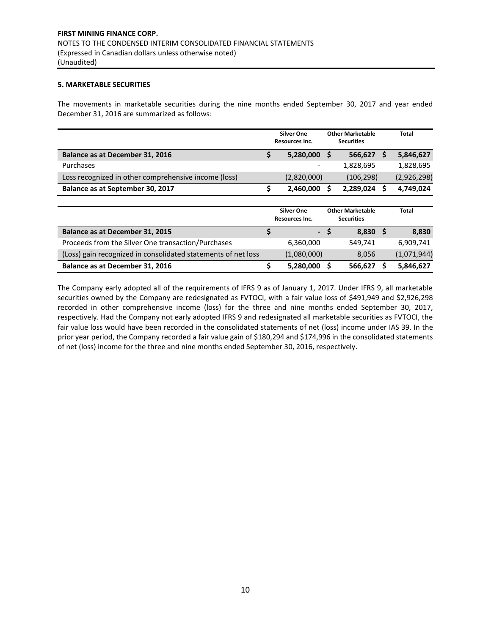## **5. MARKETABLE SECURITIES**

The movements in marketable securities during the nine months ended September 30, 2017 and year ended December 31, 2016 are summarized as follows:

|                                                               |    | <b>Silver One</b><br>Resources Inc. |          | <b>Other Marketable</b><br><b>Securities</b> |   | Total       |
|---------------------------------------------------------------|----|-------------------------------------|----------|----------------------------------------------|---|-------------|
| Balance as at December 31, 2016                               | \$ | 5,280,000                           | S        | 566,627                                      | S | 5,846,627   |
| Purchases                                                     |    |                                     |          | 1,828,695                                    |   | 1,828,695   |
| Loss recognized in other comprehensive income (loss)          |    | (2,820,000)                         |          | (106, 298)                                   |   | (2,926,298) |
| Balance as at September 30, 2017                              | \$ | 2,460,000                           |          | 2,289,024                                    |   | 4,749,024   |
|                                                               |    |                                     |          |                                              |   |             |
|                                                               |    | <b>Silver One</b><br>Resources Inc. |          | <b>Other Marketable</b><br><b>Securities</b> |   | Total       |
| Balance as at December 31, 2015                               | Ś  | $\blacksquare$                      | <b>S</b> | $8,830$ \$                                   |   | 8,830       |
| Proceeds from the Silver One transaction/Purchases            |    | 6,360,000                           |          | 549,741                                      |   | 6,909,741   |
| (Loss) gain recognized in consolidated statements of net loss |    | (1,080,000)                         |          | 8,056                                        |   | (1,071,944) |
| Balance as at December 31, 2016                               | \$ | 5,280,000                           | s        | 566,627                                      |   | 5,846,627   |

The Company early adopted all of the requirements of IFRS 9 as of January 1, 2017. Under IFRS 9, all marketable securities owned by the Company are redesignated as FVTOCI, with a fair value loss of \$491,949 and \$2,926,298 recorded in other comprehensive income (loss) for the three and nine months ended September 30, 2017, respectively. Had the Company not early adopted IFRS 9 and redesignated all marketable securities as FVTOCI, the fair value loss would have been recorded in the consolidated statements of net (loss) income under IAS 39. In the prior year period, the Company recorded a fair value gain of \$180,294 and \$174,996 in the consolidated statements of net (loss) income for the three and nine months ended September 30, 2016, respectively.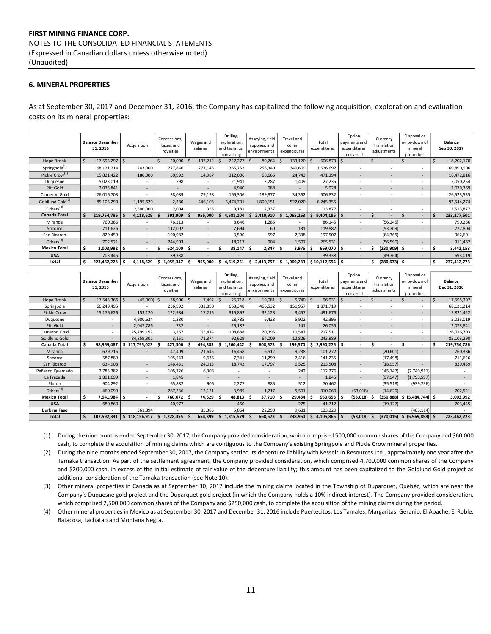# **FIRST MINING FINANCE CORP.** NOTES TO THE CONSOLIDATED FINANCIAL STATEMENTS (Expressed in Canadian dollars unless otherwise noted) (Unaudited)

## **6. MINERAL PROPERTIES**

As at September 30, 2017 and December 31, 2016, the Company has capitalized the following acquisition, exploration and evaluation costs on its mineral properties:

|                              |    | <b>Balance December</b><br>31, 2016 |   | Acquisition |    | Concessions,<br>taxes, and<br>royalties |             | Wages and<br>salaries    |   | Drilling,<br>exploration,<br>and technical<br>consulting |    | Assaying, field<br>supplies, and<br>environmental |     | Travel and<br>other<br>expenditures |   | Total<br>expenditures |          | Option<br>payments and<br>expenditures<br>recovered | Currency<br>translation<br>adjustments |    | Disposal or<br>write-down of<br>mineral<br>properties |    | <b>Balance</b><br>Sep 30, 2017 |
|------------------------------|----|-------------------------------------|---|-------------|----|-----------------------------------------|-------------|--------------------------|---|----------------------------------------------------------|----|---------------------------------------------------|-----|-------------------------------------|---|-----------------------|----------|-----------------------------------------------------|----------------------------------------|----|-------------------------------------------------------|----|--------------------------------|
| Hope Brook                   | S. | 17,595,297                          | Ś |             |    | 20,000                                  | $\varsigma$ | 137,212                  |   | 227,277                                                  | -Ś | 89,264                                            | - S | 133,120                             |   | 606,873               |          |                                                     |                                        |    | $\overline{\phantom{a}}$                              | Ś  | 18,202,170                     |
| Springpole <sup>(1)</sup>    |    | 68,121,214                          |   | 243,000     |    | 277,846                                 |             | 277,145                  |   | 365,752                                                  |    | 256,340                                           |     | 349,609                             |   | 1,526,692             |          |                                                     | ۰                                      |    | ۰                                                     |    | 69,890,906                     |
| Pickle Crow <sup>(1)</sup>   |    | 15,821,422                          |   | 180,000     |    | 50,992                                  |             | 14,987                   |   | 312,006                                                  |    | 68,666                                            |     | 24,743                              |   | 471,394               |          |                                                     | ٠                                      |    | $\overline{\phantom{a}}$                              |    | 16,472,816                     |
| Duquesne                     |    | 5,023,019                           |   |             |    | 598                                     |             | $\sim$                   |   | 21,941                                                   |    | 3,287                                             |     | 1,409                               |   | 27,235                |          |                                                     | ٠                                      |    | $\overline{\phantom{a}}$                              |    | 5,050,254                      |
| Pitt Gold                    |    | 2,073,841                           |   |             |    | $\overline{\phantom{a}}$                |             | $\overline{\phantom{a}}$ |   | 4,940                                                    |    | 988                                               |     |                                     |   | 5,928                 |          |                                                     | ٠                                      |    | $\overline{\phantom{a}}$                              |    | 2,079,769                      |
| Cameron Gold                 |    | 26,016,703                          |   | $\sim$      |    | 38,089                                  |             | 79,198                   |   | 165,306                                                  |    | 189,877                                           |     | 34,362                              |   | 506,832               |          | $\overline{\phantom{a}}$                            | ۰                                      |    | $\overline{\phantom{a}}$                              |    | 26,523,535                     |
| Goldlund Gold <sup>(2)</sup> |    | 85,103,290                          |   | 1,195,629   |    | 2,380                                   |             | 446,103                  |   | 3,474,701                                                |    | 1,800,151                                         |     | 522,020                             |   | 6,245,355             |          |                                                     | ٠                                      |    | $\overline{\phantom{a}}$                              |    | 92,544,274                     |
| Others $(3)$                 |    |                                     |   | 2,500,000   |    | 2,004                                   |             | 355                      |   | 9,181                                                    |    | 2,337                                             |     |                                     |   | 13,877                |          |                                                     |                                        |    | ٠                                                     |    | 2,513,877                      |
| <b>Canada Total</b>          |    | 219,754,786                         |   | 4,118,629   |    | 391,909                                 |             | 955,000                  |   | 4,581,104                                                |    | 2,410,910                                         | s   | 1,065,263                           | S | 9,404,186             | <b>S</b> |                                                     |                                        |    | $\sim$                                                | Ŝ  | 233,277,601                    |
| Miranda                      |    | 760,386                             |   | ۰.          |    | 76,213                                  |             |                          |   | 8,646                                                    |    | 1,286                                             |     |                                     |   | 86,145                |          |                                                     | (56, 245)                              |    | $\overline{\phantom{a}}$                              |    | 790,286                        |
| Socorro                      |    | 711,626                             |   | $\sim$      |    | 112,002                                 |             | $\overline{\phantom{a}}$ |   | 7,694                                                    |    | 60                                                |     | 131                                 |   | 119,887               |          |                                                     | (53,709)                               |    | $\overline{\phantom{a}}$                              |    | 777,804                        |
| San Ricardo                  |    | 829,459                             |   | $\sim$      |    | 190,982                                 |             | $\overline{\phantom{a}}$ |   | 3,590                                                    |    | 597                                               |     | 2,338                               |   | 197,507               |          |                                                     | (64, 365)                              |    | $\overline{\phantom{a}}$                              |    | 962,601                        |
| Others $(4)$                 |    | 702,521                             |   | $\sim$      |    | 244,903                                 |             | $\overline{\phantom{a}}$ |   | 18,217                                                   |    | 904                                               |     | 1,507                               |   | 265,531               |          |                                                     | (56, 590)                              |    | $\overline{\phantom{a}}$                              |    | 911,462                        |
| <b>Mexico Total</b>          | Ś  | 3,003,992                           | Ś |             |    | 624,100                                 |             | $\overline{\phantom{a}}$ |   | 38.147                                                   | ÷. | 2,847                                             |     | 3,976                               |   | 669,070               | s        | ۰.                                                  | (230,909) \$                           |    | $\overline{\phantom{a}}$                              | S  | 3,442,153                      |
| <b>USA</b>                   |    | 703,445                             |   |             |    | 39,338                                  |             |                          |   |                                                          |    |                                                   |     |                                     |   | 39,338                |          |                                                     | (49, 764)                              |    | $\overline{\phantom{a}}$                              |    | 693,019                        |
| Total                        | Ŝ. | 223,462,223                         |   | 4,118,629   | -S | 1,055,347                               |             | 955,000                  | э | 4,619,251                                                | s. | 2,413,757                                         | s   | 1,069,239                           |   | \$10,112,594          | ۱s       | $\overline{\phantom{a}}$                            | (280,673)                              | -S | $\overline{\phantom{a}}$                              | \$ | 237,412,773                    |

|                       |    | <b>Balance December</b><br>31, 2015 | Acquisition  |               |     | Concessions,<br>taxes, and<br>royalties | Wages and<br>salaries    |   | Drilling,<br>exploration,<br>and technical<br>consulting |    | Assaying, field<br>supplies, and<br>environmental |    | Travel and<br>other<br>expenditures |    | Total<br>expenditures |     | Option<br>payments and<br>expenditures<br>recovered | Currency<br>translation<br>adjustments |     | Disposal or<br>write-down of<br>mineral<br>properties |    | <b>Balance</b><br>Dec 31, 2016 |
|-----------------------|----|-------------------------------------|--------------|---------------|-----|-----------------------------------------|--------------------------|---|----------------------------------------------------------|----|---------------------------------------------------|----|-------------------------------------|----|-----------------------|-----|-----------------------------------------------------|----------------------------------------|-----|-------------------------------------------------------|----|--------------------------------|
| Hope Brook            |    | 17,543,366                          | <sup>5</sup> | $(45,000)$ \$ |     | 38,900 \$                               | 7,492 \$                 |   | 25,718                                                   | -Ś | 19,081 \$                                         |    | 5,740                               |    | 96,931                |     |                                                     |                                        |     | $\overline{\phantom{a}}$                              |    | 17,595,297                     |
| Springpole            |    | 66,249,495                          |              |               |     | 256,992                                 | 332,890                  |   | 663,348                                                  |    | 466,532                                           |    | 151,957                             |    | 1,871,719             |     |                                                     |                                        |     | $\overline{\phantom{a}}$                              |    | 68,121,214                     |
| <b>Pickle Crow</b>    |    | 15,176,626                          |              | 153,120       |     | 122,984                                 | 17,215                   |   | 315,892                                                  |    | 32,128                                            |    | 3,457                               |    | 491,676               |     |                                                     |                                        |     | $\sim$                                                |    | 15,821,422                     |
| Duguesne              |    |                                     |              | 4,980,624     |     | 1,280                                   |                          |   | 28,785                                                   |    | 6,428                                             |    | 5,902                               |    | 42,395                |     |                                                     | ٠                                      |     | $\sim$                                                |    | 5,023,019                      |
| Pitt Gold             |    |                                     |              | 2,047,786     |     | 732                                     |                          |   | 25,182                                                   |    |                                                   |    | 141                                 |    | 26,055                |     |                                                     | ٠                                      |     | $\sim$                                                |    | 2,073,841                      |
| Cameron Gold          |    |                                     | 25,799,192   |               |     | 3,267                                   | 65,414                   |   | 108,888                                                  |    | 20,395                                            |    | 19,547                              |    | 217,511               |     |                                                     | ۰.                                     |     | $\sim$                                                |    | 26,016,703                     |
| Goldlund Gold         |    |                                     | 84,859,301   |               |     | 3,151                                   | 71,374                   |   | 92,629                                                   |    | 64,009                                            |    | 12,826                              |    | 243,989               |     |                                                     |                                        |     | ۰                                                     |    | 85,103,290                     |
| Canada Total          |    | 98,969,487                          | 117,795,023  |               |     | 427,306                                 | 494,385                  |   | ,260,442                                                 |    | 608,573                                           |    | 199,570                             |    | 2,990,276             | \$. |                                                     |                                        |     | $\blacksquare$                                        |    | 219,754,786                    |
| Miranda               |    | 679,715                             |              | $\sim$        |     | 47,409                                  | 21,645                   |   | 16,468                                                   |    | 6,512                                             |    | 9,238                               |    | 101,272               |     |                                                     | (20, 601)                              |     | $\overline{\phantom{a}}$                              |    | 760,386                        |
| Socorro               |    | 587,889                             |              |               |     | 105,543                                 | 9,636                    |   | 7,341                                                    |    | 11,299                                            |    | 7,416                               |    | 141,235               |     |                                                     | (17, 498)                              |     | $\overline{\phantom{a}}$                              |    | 711,626                        |
| San Ricardo           |    | 634,908                             |              |               |     | 146,431                                 | 24,013                   |   | 18,742                                                   |    | 17,797                                            |    | 6,525                               |    | 213,508               |     |                                                     | (18, 957)                              |     |                                                       |    | 829,459                        |
| Peñasco Quemado       |    | 2,783,382                           |              |               |     | 105,726                                 | 6,308                    |   |                                                          |    | ٠                                                 |    | 242                                 |    | 112,276               |     |                                                     | (145, 747)                             |     | (2,749,911)                                           |    |                                |
| La Frazada            |    | 1,891,699                           |              | $\sim$        |     | 1,845                                   | $\overline{\phantom{a}}$ |   |                                                          |    | ٠                                                 |    |                                     |    | 1,845                 |     | $\overline{\phantom{a}}$                            | (97, 947)                              |     | (1,795,597)                                           |    |                                |
| Pluton                |    | 904,292                             |              |               |     | 65,882                                  | 906                      |   | 2,277                                                    |    | 885                                               |    | 512                                 |    | 70,462                |     |                                                     | (35,518)                               |     | (939, 236)                                            |    |                                |
| Others <sup>(4)</sup> |    | 460,099                             |              |               |     | 287,236                                 | 12,121                   |   | 3,985                                                    |    | 1,217                                             |    | 5,501                               |    | 310,060               |     | (53,018)                                            | (14, 620)                              |     | $\overline{\phantom{a}}$                              |    | 702,521                        |
| <b>Mexico Total</b>   | Ŝ  | 7,941,984                           | Ś            |               |     | 760,072                                 | 74,629                   |   | 48,813                                                   |    | 37,710                                            | Ŝ. | 29,434                              | -S | 950,658               | Ś   | (53,018)                                            | (350, 888)                             | \$. | (5,484,744)                                           | -S | 3,003,992                      |
| <b>USA</b>            |    | 680,860                             |              |               |     | 40,977                                  |                          |   | 460                                                      |    |                                                   |    | 275                                 |    | 41,712                |     |                                                     | (19, 127)                              |     |                                                       |    | 703,445                        |
| <b>Burkina Faso</b>   |    |                                     |              | 361,894       |     |                                         | 85,385                   |   | 5,864                                                    |    | 22,290                                            |    | 9,681                               |    | 123,220               |     |                                                     |                                        |     | (485, 114)                                            |    |                                |
| Total                 | \$ | 107,592,331                         | 118,156,917  |               | \$. | 1,228,355                               | 654,399                  | S | 1,315,579                                                |    | 668,573                                           |    | 238,960                             |    | $4,105,866$ \$        |     | (53,018)                                            | (370, 015)                             |     | \$ (5,969,858) \$                                     |    | 223,462,223                    |

(1) During the nine months ended September 30, 2017, the Company provided consideration, which comprised 500,000 common shares of the Company and \$60,000 cash, to complete the acquisition of mining claims which are contiguous to the Company's existing Springpole and Pickle Crow mineral properties.

(2) During the nine months ended September 30, 2017, the Company settled its debenture liability with Kesselrun Resources Ltd., approximately one year after the Tamaka transaction. As part of the settlement agreement, the Company provided consideration, which comprised 4,700,000 common shares of the Company and \$200,000 cash, in excess of the initial estimate of fair value of the debenture liability; this amount has been capitalized to the Goldlund Gold project as additional consideration of the Tamaka transaction (see Note 10).

(3) Other mineral properties in Canada as at September 30, 2017 include the mining claims located in the Township of Duparquet, Quebéc, which are near the Company's Duquesne gold project and the Duparquet gold project (in which the Company holds a 10% indirect interest). The Company provided consideration, which comprised 2,500,000 common shares of the Company and \$250,000 cash, to complete the acquisition of the mining claims during the period.

(4) Other mineral properties in Mexico as at September 30, 2017 and December 31, 2016 include Puertecitos, Los Tamales, Margaritas, Geranio, El Apache, El Roble, Batacosa, Lachatao and Montana Negra.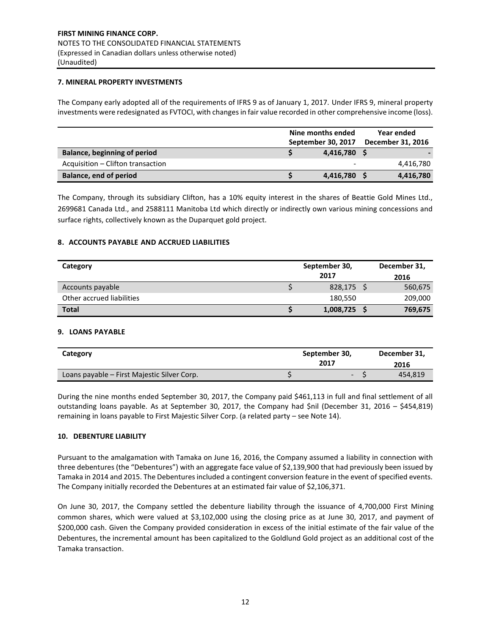## **7. MINERAL PROPERTY INVESTMENTS**

The Company early adopted all of the requirements of IFRS 9 as of January 1, 2017. Under IFRS 9, mineral property investments were redesignated as FVTOCI, with changes in fair value recorded in other comprehensive income (loss).

|                                   | Nine months ended<br>September 30, 2017 | <b>Year ended</b><br>December 31, 2016 |
|-----------------------------------|-----------------------------------------|----------------------------------------|
| Balance, beginning of period      | 4.416.780 \$                            |                                        |
| Acquisition – Clifton transaction |                                         | 4,416,780                              |
| Balance, end of period            | 4,416,780 \$                            | 4,416,780                              |

The Company, through its subsidiary Clifton, has a 10% equity interest in the shares of Beattie Gold Mines Ltd., 2699681 Canada Ltd., and 2588111 Manitoba Ltd which directly or indirectly own various mining concessions and surface rights, collectively known as the Duparquet gold project.

# **8. ACCOUNTS PAYABLE AND ACCRUED LIABILITIES**

| Category                  | September 30, | December 31, |         |
|---------------------------|---------------|--------------|---------|
|                           |               | 2017         | 2016    |
| Accounts payable          |               | 828,175 \$   | 560,675 |
| Other accrued liabilities |               | 180,550      | 209,000 |
| <b>Total</b>              |               | 1,008,725    | 769,675 |

### **9. LOANS PAYABLE**

| Category                                    | September 30,<br>2017 | December 31,<br>2016 |
|---------------------------------------------|-----------------------|----------------------|
| Loans payable – First Majestic Silver Corp. | a s                   | 454,819              |

During the nine months ended September 30, 2017, the Company paid \$461,113 in full and final settlement of all outstanding loans payable. As at September 30, 2017, the Company had \$nil (December 31, 2016 – \$454,819) remaining in loans payable to First Majestic Silver Corp. (a related party – see Note 14).

## **10. DEBENTURE LIABILITY**

Pursuant to the amalgamation with Tamaka on June 16, 2016, the Company assumed a liability in connection with three debentures (the "Debentures") with an aggregate face value of \$2,139,900 that had previously been issued by Tamaka in 2014 and 2015. The Debentures included a contingent conversion feature in the event of specified events. The Company initially recorded the Debentures at an estimated fair value of \$2,106,371.

On June 30, 2017, the Company settled the debenture liability through the issuance of 4,700,000 First Mining common shares, which were valued at \$3,102,000 using the closing price as at June 30, 2017, and payment of \$200,000 cash. Given the Company provided consideration in excess of the initial estimate of the fair value of the Debentures, the incremental amount has been capitalized to the Goldlund Gold project as an additional cost of the Tamaka transaction.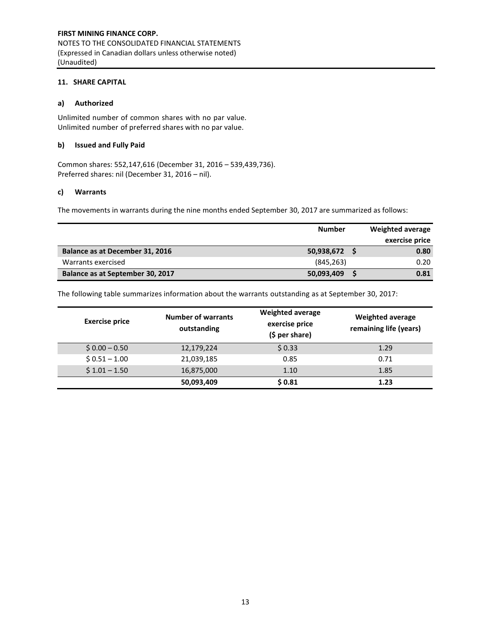# **11. SHARE CAPITAL**

# **a) Authorized**

Unlimited number of common shares with no par value. Unlimited number of preferred shares with no par value.

## **b) Issued and Fully Paid**

Common shares: 552,147,616 (December 31, 2016 – 539,439,736). Preferred shares: nil (December 31, 2016 – nil).

## **c) Warrants**

The movements in warrants during the nine months ended September 30, 2017 are summarized as follows:

|                                  | <b>Number</b> | Weighted average |
|----------------------------------|---------------|------------------|
|                                  |               | exercise price   |
| Balance as at December 31, 2016  | 50,938,672    | 0.80             |
| Warrants exercised               | (845, 263)    | 0.20             |
| Balance as at September 30, 2017 | 50,093,409    | 0.81             |

The following table summarizes information about the warrants outstanding as at September 30, 2017:

| <b>Exercise price</b> | <b>Number of warrants</b><br>outstanding | <b>Weighted average</b><br>exercise price<br>$(5 per share)$ | <b>Weighted average</b><br>remaining life (years) |
|-----------------------|------------------------------------------|--------------------------------------------------------------|---------------------------------------------------|
| $$0.00 - 0.50$        | 12,179,224                               | \$0.33                                                       | 1.29                                              |
| $$0.51 - 1.00$        | 21,039,185                               | 0.85                                                         | 0.71                                              |
| $$1.01 - 1.50$        | 16,875,000                               | 1.10                                                         | 1.85                                              |
|                       | 50,093,409                               | \$0.81                                                       | 1.23                                              |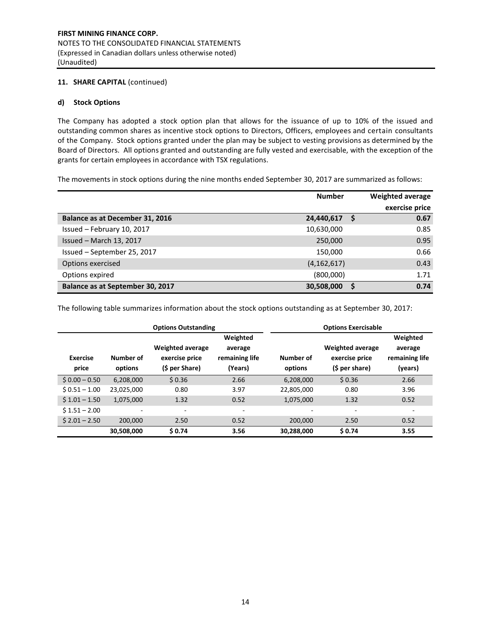# **11. SHARE CAPITAL** (continued)

# **d) Stock Options**

The Company has adopted a stock option plan that allows for the issuance of up to 10% of the issued and outstanding common shares as incentive stock options to Directors, Officers, employees and certain consultants of the Company. Stock options granted under the plan may be subject to vesting provisions as determined by the Board of Directors. All options granted and outstanding are fully vested and exercisable, with the exception of the grants for certain employees in accordance with TSX regulations.

The movements in stock options during the nine months ended September 30, 2017 are summarized as follows:

|                                  | <b>Number</b> |   | <b>Weighted average</b><br>exercise price |
|----------------------------------|---------------|---|-------------------------------------------|
| Balance as at December 31, 2016  | 24,440,617    |   | 0.67                                      |
| Issued - February 10, 2017       | 10,630,000    |   | 0.85                                      |
| Issued - March 13, 2017          | 250,000       |   | 0.95                                      |
| Issued - September 25, 2017      | 150,000       |   | 0.66                                      |
| Options exercised                | (4, 162, 617) |   | 0.43                                      |
| Options expired                  | (800,000)     |   | 1.71                                      |
| Balance as at September 30, 2017 | 30,508,000    | S | 0.74                                      |

The following table summarizes information about the stock options outstanding as at September 30, 2017:

|                          |                      | <b>Options Outstanding</b>                                  |                                                  | <b>Options Exercisable</b> |                                                             |                                                  |  |  |  |
|--------------------------|----------------------|-------------------------------------------------------------|--------------------------------------------------|----------------------------|-------------------------------------------------------------|--------------------------------------------------|--|--|--|
| <b>Exercise</b><br>price | Number of<br>options | <b>Weighted average</b><br>exercise price<br>(\$ per Share) | Weighted<br>average<br>remaining life<br>(Years) | Number of<br>options       | <b>Weighted average</b><br>exercise price<br>(\$ per share) | Weighted<br>average<br>remaining life<br>(vears) |  |  |  |
| $$0.00 - 0.50$           | 6,208,000            | \$0.36                                                      | 2.66                                             | 6,208,000                  | \$0.36                                                      | 2.66                                             |  |  |  |
| $$0.51 - 1.00$           | 23,025,000           | 0.80                                                        | 3.97                                             | 22,805,000                 | 0.80                                                        | 3.96                                             |  |  |  |
| $$1.01 - 1.50$           | 1,075,000            | 1.32                                                        | 0.52                                             | 1,075,000                  | 1.32                                                        | 0.52                                             |  |  |  |
| $$1.51 - 2.00$           | ٠                    | -                                                           | ۰                                                | ٠                          | $\overline{\phantom{0}}$                                    | ٠                                                |  |  |  |
| $$2.01 - 2.50$           | 200,000              | 2.50                                                        | 0.52                                             | 200,000                    | 2.50                                                        | 0.52                                             |  |  |  |
|                          | 30,508,000           | \$0.74                                                      | 3.56                                             | 30,288,000                 | \$0.74                                                      | 3.55                                             |  |  |  |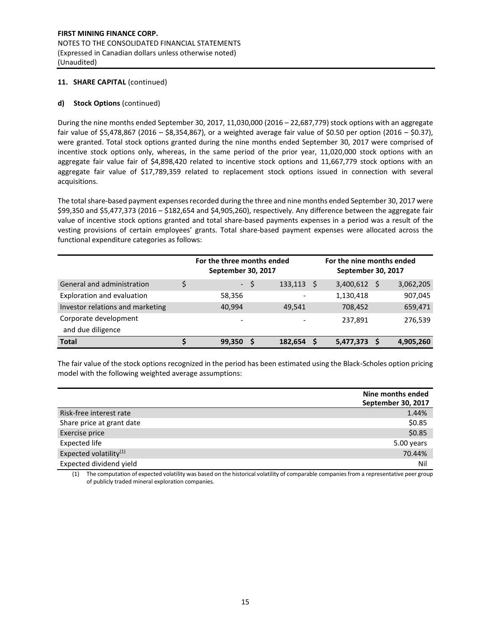# **11. SHARE CAPITAL** (continued)

# **d) Stock Options** (continued)

During the nine months ended September 30, 2017, 11,030,000 (2016 – 22,687,779) stock options with an aggregate fair value of \$5,478,867 (2016 – \$8,354,867), or a weighted average fair value of \$0.50 per option (2016 – \$0.37), were granted. Total stock options granted during the nine months ended September 30, 2017 were comprised of incentive stock options only, whereas, in the same period of the prior year, 11,020,000 stock options with an aggregate fair value fair of \$4,898,420 related to incentive stock options and 11,667,779 stock options with an aggregate fair value of \$17,789,359 related to replacement stock options issued in connection with several acquisitions.

The total share-based payment expenses recorded during the three and nine months ended September 30, 2017 were \$99,350 and \$5,477,373 (2016 – \$182,654 and \$4,905,260), respectively. Any difference between the aggregate fair value of incentive stock options granted and total share-based payments expenses in a period was a result of the vesting provisions of certain employees' grants. Total share-based payment expenses were allocated across the functional expenditure categories as follows:

|                                  | For the three months ended<br>For the nine months ended<br>September 30, 2017<br>September 30, 2017 |    |         |   |           |    |           |
|----------------------------------|-----------------------------------------------------------------------------------------------------|----|---------|---|-----------|----|-----------|
| General and administration       | $\sim 10$                                                                                           | -S | 133,113 | S | 3,400,612 | -S | 3,062,205 |
| Exploration and evaluation       | 58,356                                                                                              |    |         |   | 1,130,418 |    | 907,045   |
| Investor relations and marketing | 40,994                                                                                              |    | 49.541  |   | 708,452   |    | 659,471   |
| Corporate development            | $\overline{\phantom{0}}$                                                                            |    |         |   | 237,891   |    | 276,539   |
| and due diligence                |                                                                                                     |    |         |   |           |    |           |
| <b>Total</b>                     | 99,350                                                                                              |    | 182,654 |   | 5,477,373 |    | 4,905,260 |

The fair value of the stock options recognized in the period has been estimated using the Black-Scholes option pricing model with the following weighted average assumptions:

|                                    | Nine months ended<br>September 30, 2017 |
|------------------------------------|-----------------------------------------|
| Risk-free interest rate            | 1.44%                                   |
| Share price at grant date          | \$0.85                                  |
| Exercise price                     | \$0.85                                  |
| Expected life                      | 5.00 years                              |
| Expected volatility <sup>(1)</sup> | 70.44%                                  |
| Expected dividend yield            | Nil                                     |

(1) The computation of expected volatility was based on the historical volatility of comparable companies from a representative peer group of publicly traded mineral exploration companies.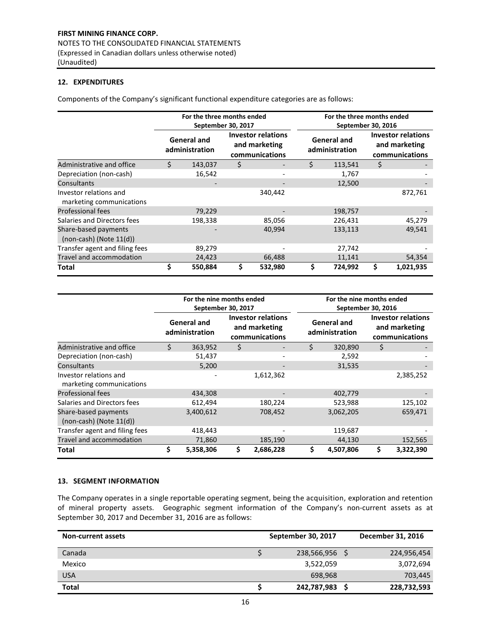# **12. EXPENDITURES**

Components of the Company's significant functional expenditure categories are as follows:

|                                                      |    | For the three months ended<br>September 30, 2017 |    |                                                              |    | For the three months ended<br>September 30, 2016 |                                                              |           |  |  |  |
|------------------------------------------------------|----|--------------------------------------------------|----|--------------------------------------------------------------|----|--------------------------------------------------|--------------------------------------------------------------|-----------|--|--|--|
|                                                      |    | <b>General and</b><br>administration             |    | <b>Investor relations</b><br>and marketing<br>communications |    | <b>General and</b><br>administration             | <b>Investor relations</b><br>and marketing<br>communications |           |  |  |  |
| Administrative and office                            | Ś  | 143,037                                          | \$ |                                                              | Ś. | 113,541                                          | \$                                                           |           |  |  |  |
| Depreciation (non-cash)                              |    | 16,542                                           |    |                                                              |    | 1,767                                            |                                                              |           |  |  |  |
| Consultants                                          |    |                                                  |    |                                                              |    | 12,500                                           |                                                              |           |  |  |  |
| Investor relations and<br>marketing communications   |    |                                                  |    | 340,442                                                      |    |                                                  |                                                              | 872,761   |  |  |  |
| <b>Professional fees</b>                             |    | 79,229                                           |    |                                                              |    | 198,757                                          |                                                              |           |  |  |  |
| Salaries and Directors fees                          |    | 198,338                                          |    | 85,056                                                       |    | 226,431                                          |                                                              | 45,279    |  |  |  |
| Share-based payments<br>$(non-cash)$ (Note $11(d)$ ) |    |                                                  |    | 40,994                                                       |    | 133,113                                          |                                                              | 49,541    |  |  |  |
| Transfer agent and filing fees                       |    | 89,279                                           |    |                                                              |    | 27,742                                           |                                                              |           |  |  |  |
| Travel and accommodation                             |    | 24,423                                           |    | 66,488                                                       |    | 11,141                                           |                                                              | 54,354    |  |  |  |
| Total                                                | \$ | 550,884                                          | \$ | 532,980                                                      |    | 724,992                                          | Ś                                                            | 1,021,935 |  |  |  |

|                                                      |    | For the nine months ended<br>September 30, 2017 |                                                              |    | For the nine months ended<br>September 30, 2016 |                                                              |           |  |  |  |  |  |
|------------------------------------------------------|----|-------------------------------------------------|--------------------------------------------------------------|----|-------------------------------------------------|--------------------------------------------------------------|-----------|--|--|--|--|--|
|                                                      |    | <b>General and</b><br>administration            | <b>Investor relations</b><br>and marketing<br>communications |    | <b>General and</b><br>administration            | <b>Investor relations</b><br>and marketing<br>communications |           |  |  |  |  |  |
| Administrative and office                            | Ś. | 363,952                                         | \$                                                           | Ś  | 320,890                                         | \$                                                           |           |  |  |  |  |  |
| Depreciation (non-cash)                              |    | 51,437                                          |                                                              |    | 2,592                                           |                                                              |           |  |  |  |  |  |
| Consultants                                          |    | 5,200                                           |                                                              |    | 31,535                                          |                                                              |           |  |  |  |  |  |
| Investor relations and<br>marketing communications   |    |                                                 | 1,612,362                                                    |    |                                                 |                                                              | 2,385,252 |  |  |  |  |  |
| <b>Professional fees</b>                             |    | 434,308                                         |                                                              |    | 402,779                                         |                                                              |           |  |  |  |  |  |
| Salaries and Directors fees                          |    | 612,494                                         | 180,224                                                      |    | 523,988                                         |                                                              | 125,102   |  |  |  |  |  |
| Share-based payments<br>$(non-cash)$ (Note $11(d)$ ) |    | 3,400,612                                       | 708,452                                                      |    | 3,062,205                                       |                                                              | 659,471   |  |  |  |  |  |
| Transfer agent and filing fees                       |    | 418,443                                         |                                                              |    | 119,687                                         |                                                              |           |  |  |  |  |  |
| Travel and accommodation                             |    | 71,860                                          | 185,190                                                      |    | 44,130                                          |                                                              | 152,565   |  |  |  |  |  |
| Total                                                | \$ | 5,358,306                                       | \$<br>2,686,228                                              | \$ | 4,507,806                                       | \$                                                           | 3,322,390 |  |  |  |  |  |

# **13. SEGMENT INFORMATION**

The Company operates in a single reportable operating segment, being the acquisition, exploration and retention of mineral property assets. Geographic segment information of the Company's non-current assets as at September 30, 2017 and December 31, 2016 are as follows:

| <b>Non-current assets</b> | September 30, 2017 | December 31, 2016 |
|---------------------------|--------------------|-------------------|
| Canada                    | 238,566,956        | 224,956,454       |
| Mexico                    | 3,522,059          | 3,072,694         |
| <b>USA</b>                | 698,968            | 703,445           |
| <b>Total</b>              | 242,787,983        | 228,732,593       |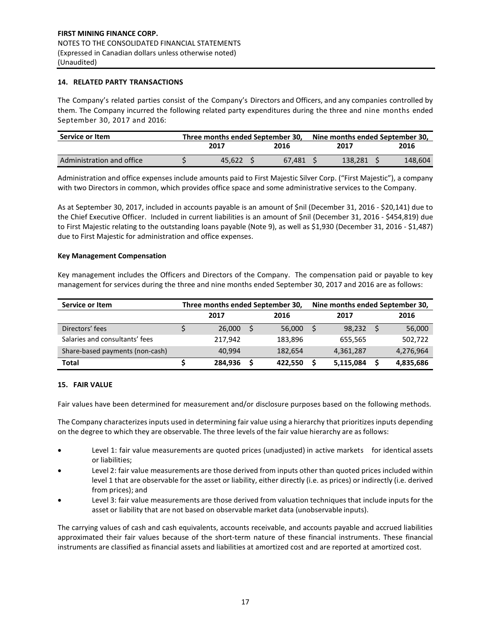## **14. RELATED PARTY TRANSACTIONS**

The Company's related parties consist of the Company's Directors and Officers, and any companies controlled by them. The Company incurred the following related party expenditures during the three and nine months ended September 30, 2017 and 2016:

| Service or Item           | Three months ended September 30, |  |        |      | Nine months ended September 30, |  |         |
|---------------------------|----------------------------------|--|--------|------|---------------------------------|--|---------|
|                           | 2017                             |  | 2016   | 2017 |                                 |  | 2016    |
| Administration and office | 45.622                           |  | 67.481 |      | 138.281                         |  | 148.604 |

expenses Administration and office expenses include amounts paid to First Majestic Silver Corp. ("First Majestic"), a company with two Directors in common, which provides office space and some administrative services to the Company.

As at September 30, 2017, included in accounts payable is an amount of \$nil (December 31, 2016 - \$20,141) due to the Chief Executive Officer. Included in current liabilities is an amount of \$nil (December 31, 2016 - \$454,819) due to First Majestic relating to the outstanding loans payable (Note 9), as well as \$1,930 (December 31, 2016 - \$1,487) due to First Majestic for administration and office expenses.

## **Key Management Compensation**

Key management includes the Officers and Directors of the Company. The compensation paid or payable to key management for services during the three and nine months ended September 30, 2017 and 2016 are as follows:

| Service or Item                 | Three months ended September 30, |  | Nine months ended September 30, |  |           |   |           |
|---------------------------------|----------------------------------|--|---------------------------------|--|-----------|---|-----------|
|                                 | 2017                             |  | 2016                            |  | 2017      |   | 2016      |
| Directors' fees                 | 26,000                           |  | 56,000                          |  | 98.232    | S | 56,000    |
| Salaries and consultants' fees  | 217,942                          |  | 183,896                         |  | 655.565   |   | 502,722   |
| Share-based payments (non-cash) | 40.994                           |  | 182,654                         |  | 4,361,287 |   | 4,276,964 |
| <b>Total</b>                    | 284,936                          |  | 422,550                         |  | 5,115,084 |   | 4,835,686 |

### **15. FAIR VALUE**

Fair values have been determined for measurement and/or disclosure purposes based on the following methods.

The Company characterizes inputs used in determining fair value using a hierarchy that prioritizes inputs depending on the degree to which they are observable. The three levels of the fair value hierarchy are as follows:

- Level 1: fair value measurements are quoted prices (unadjusted) in active markets for identical assets or liabilities;
- Level 2: fair value measurements are those derived from inputs other than quoted prices included within level 1 that are observable for the asset or liability, either directly (i.e. as prices) or indirectly (i.e. derived from prices); and
- Level 3: fair value measurements are those derived from valuation techniques that include inputs for the asset or liability that are not based on observable market data (unobservable inputs).

The carrying values of cash and cash equivalents, accounts receivable, and accounts payable and accrued liabilities approximated their fair values because of the short-term nature of these financial instruments. These financial instruments are classified as financial assets and liabilities at amortized cost and are reported at amortized cost.